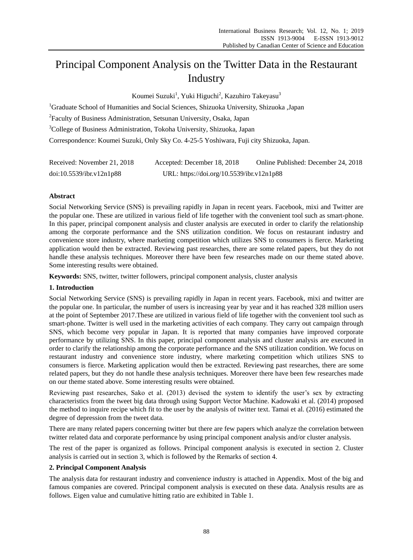# Principal Component Analysis on the Twitter Data in the Restaurant Industry

Koumei Suzuki<sup>1</sup>, Yuki Higuchi<sup>2</sup>, Kazuhiro Takeyasu<sup>3</sup>

<sup>1</sup>Graduate School of Humanities and Social Sciences, Shizuoka University, Shizuoka Japan <sup>2</sup> Faculty of Business Administration, Setsunan University, Osaka, Japan <sup>3</sup>College of Business Administration, Tokoha University, Shizuoka, Japan Correspondence: Koumei Suzuki, Only Sky Co. 4-25-5 Yoshiwara, Fuji city Shizuoka, Japan.

| Received: November 21, 2018 | Accepted: December 18, 2018               | Online Published: December 24, 2018 |
|-----------------------------|-------------------------------------------|-------------------------------------|
| doi:10.5539/ibr.v12n1p88    | URL: https://doi.org/10.5539/ibr.v12n1p88 |                                     |

# **Abstract**

Social Networking Service (SNS) is prevailing rapidly in Japan in recent years. Facebook, mixi and Twitter are the popular one. These are utilized in various field of life together with the convenient tool such as smart-phone. In this paper, principal component analysis and cluster analysis are executed in order to clarify the relationship among the corporate performance and the SNS utilization condition. We focus on restaurant industry and convenience store industry, where marketing competition which utilizes SNS to consumers is fierce. Marketing application would then be extracted. Reviewing past researches, there are some related papers, but they do not handle these analysis techniques. Moreover there have been few researches made on our theme stated above. Some interesting results were obtained.

**Keywords:** SNS, twitter, twitter followers, principal component analysis, cluster analysis

## **1. Introduction**

Social Networking Service (SNS) is prevailing rapidly in Japan in recent years. Facebook, mixi and twitter are the popular one. In particular, the number of users is increasing year by year and it has reached 328 million users at the point of September 2017.These are utilized in various field of life together with the convenient tool such as smart-phone. Twitter is well used in the marketing activities of each company. They carry out campaign through SNS, which become very popular in Japan. It is reported that many companies have improved corporate performance by utilizing SNS. In this paper, principal component analysis and cluster analysis are executed in order to clarify the relationship among the corporate performance and the SNS utilization condition. We focus on restaurant industry and convenience store industry, where marketing competition which utilizes SNS to consumers is fierce. Marketing application would then be extracted. Reviewing past researches, there are some related papers, but they do not handle these analysis techniques. Moreover there have been few researches made on our theme stated above. Some interesting results were obtained.

Reviewing past researches, Sako et al. (2013) devised the system to identify the user's sex by extracting characteristics from the tweet big data through using Support Vector Machine. Kadowaki et al. (2014) proposed the method to inquire recipe which fit to the user by the analysis of twitter text. Tamai et al. (2016) estimated the degree of depression from the tweet data.

There are many related papers concerning twitter but there are few papers which analyze the correlation between twitter related data and corporate performance by using principal component analysis and/or cluster analysis.

The rest of the paper is organized as follows. Principal component analysis is executed in section 2. Cluster analysis is carried out in section 3, which is followed by the Remarks of section 4.

## **2. Principal Component Analysis**

The analysis data for restaurant industry and convenience industry is attached in Appendix. Most of the big and famous companies are covered. Principal component analysis is executed on these data. Analysis results are as follows. Eigen value and cumulative hitting ratio are exhibited in Table 1.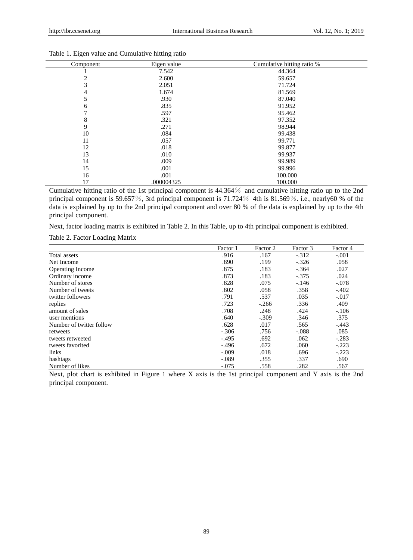| Component | Eigen value | Cumulative hitting ratio % |
|-----------|-------------|----------------------------|
|           | 7.542       | 44.364                     |
| 2         | 2.600       | 59.657                     |
| 3         | 2.051       | 71.724                     |
| 4         | 1.674       | 81.569                     |
| 5         | .930        | 87.040                     |
| 6         | .835        | 91.952                     |
|           | .597        | 95.462                     |
| 8         | .321        | 97.352                     |
| 9         | .271        | 98.944                     |
| 10        | .084        | 99.438                     |
| 11        | .057        | 99.771                     |
| 12        | .018        | 99.877                     |
| 13        | .010        | 99.937                     |
| 14        | .009        | 99.989                     |
| 15        | .001        | 99.996                     |
| 16        | .001        | 100.000                    |
| 17        | .000004325  | 100.000                    |

#### Table 1. Eigen value and Cumulative hitting ratio

Cumulative hitting ratio of the 1st principal component is 44.364% and cumulative hitting ratio up to the 2nd principal component is 59.657%, 3rd principal component is 71.724% 4th is 81.569%. i.e., nearly60 % of the data is explained by up to the 2nd principal component and over 80 % of the data is explained by up to the 4th principal component.

Next, factor loading matrix is exhibited in Table 2. In this Table, up to 4th principal component is exhibited.

Table 2. Factor Loading Matrix

|                          | Factor 1 | Factor 2 | Factor 3 | Factor 4 |
|--------------------------|----------|----------|----------|----------|
| Total assets             | .916     | .167     | $-.312$  | $-.001$  |
| Net Income               | .890     | .199     | $-.326$  | .058     |
| Operating Income         | .875     | .183     | $-.364$  | .027     |
| Ordinary income          | .873     | .183     | $-.375$  | .024     |
| Number of stores         | .828     | .075     | $-.146$  | $-.078$  |
| Number of tweets         | .802     | .058     | .358     | $-.402$  |
| twitter followers        | .791     | .537     | .035     | $-.017$  |
| replies                  | .723     | $-.266$  | .336     | .409     |
| amount of sales          | .708     | .248     | .424     | $-.106$  |
| user mentions            | .640     | $-.309$  | .346     | .375     |
| Number of twitter follow | .628     | .017     | .565     | $-.443$  |
| retweets                 | $-.306$  | .756     | $-.088$  | .085     |
| tweets retweeted         | $-.495$  | .692     | .062     | $-.283$  |
| tweets favorited         | $-.496$  | .672     | .060     | $-.223$  |
| links                    | $-.009$  | .018     | .696     | $-.223$  |
| hashtags                 | $-.089$  | .355     | .337     | .690     |
| Number of likes          | $-.075$  | .558     | .282     | .567     |

Next, plot chart is exhibited in Figure 1 where X axis is the 1st principal component and Y axis is the 2nd principal component.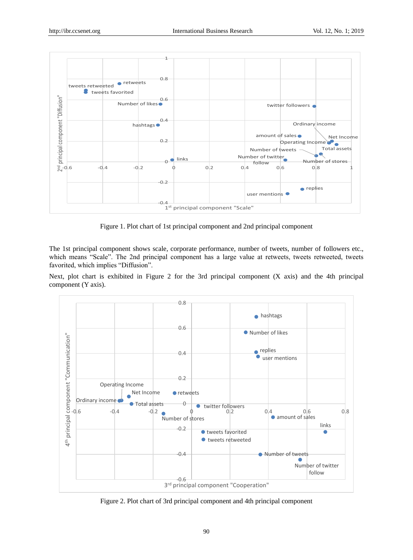

Figure 1. Plot chart of 1st principal component and 2nd principal component

The 1st principal component shows scale, corporate performance, number of tweets, number of followers etc., which means "Scale". The 2nd principal component has a large value at retweets, tweets retweeted, tweets favorited, which implies "Diffusion".

Next, plot chart is exhibited in Figure 2 for the 3rd principal component (X axis) and the 4th principal component (Y axis).



Figure 2. Plot chart of 3rd principal component and 4th principal component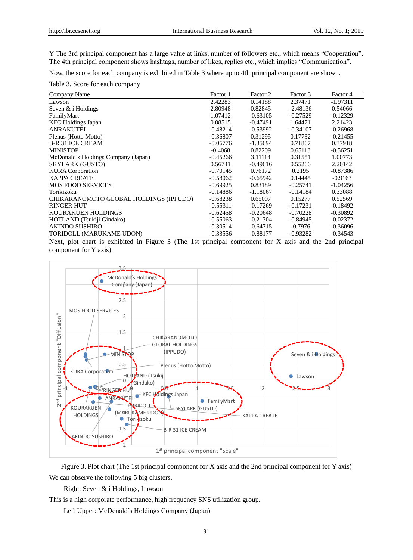Y The 3rd principal component has a large value at links, number of followers etc., which means "Cooperation". The 4th principal component shows hashtags, number of likes, replies etc., which implies "Communication".

Now, the score for each company is exhibited in Table 3 where up to 4th principal component are shown.

Table 3. Score for each company

| Company Name                           | Factor 1   | Factor 2   | Factor 3   | Factor 4   |
|----------------------------------------|------------|------------|------------|------------|
| Lawson                                 | 2.42283    | 0.14188    | 2.37471    | $-1.97311$ |
| Seven & i Holdings                     | 2.80948    | 0.82845    | $-2.48136$ | 0.54066    |
| FamilyMart                             | 1.07412    | $-0.63105$ | $-0.27529$ | $-0.12329$ |
| <b>KFC</b> Holdings Japan              | 0.08515    | $-0.47491$ | 1.64471    | 2.21423    |
| <b>ANRAKUTEI</b>                       | $-0.48214$ | $-0.53992$ | $-0.34107$ | $-0.26968$ |
| Plenus (Hotto Motto)                   | $-0.36807$ | 0.31295    | 0.17732    | $-0.21455$ |
| <b>B-R 31 ICE CREAM</b>                | $-0.06776$ | $-1.35694$ | 0.71867    | 0.37918    |
| <b>MINISTOP</b>                        | $-0.4068$  | 0.82209    | 0.65113    | $-0.56251$ |
| McDonald's Holdings Company (Japan)    | $-0.45266$ | 3.11114    | 0.31551    | 1.00773    |
| <b>SKYLARK (GUSTO)</b>                 | 0.56741    | $-0.49616$ | 0.55266    | 2.20142    |
| <b>KURA</b> Corporation                | $-0.70145$ | 0.76172    | 0.2195     | $-0.87386$ |
| <b>KAPPA CREATE</b>                    | $-0.58062$ | $-0.65942$ | 0.14445    | $-0.9163$  |
| <b>MOS FOOD SERVICES</b>               | $-0.69925$ | 0.83189    | $-0.25741$ | $-1.04256$ |
| Torikizoku                             | $-0.14886$ | $-1.18067$ | $-0.14184$ | 0.33088    |
| CHIKARANOMOTO GLOBAL HOLDINGS (IPPUDO) | $-0.68238$ | 0.65007    | 0.15277    | 0.52569    |
| <b>RINGER HUT</b>                      | $-0.55311$ | $-0.17269$ | $-0.17231$ | $-0.18492$ |
| KOURAKUEN HOLDINGS                     | $-0.62458$ | $-0.20648$ | $-0.70228$ | $-0.30892$ |
| HOTLAND (Tsukiji Gindako)              | $-0.55063$ | $-0.21304$ | $-0.84945$ | $-0.02372$ |
| <b>AKINDO SUSHIRO</b>                  | $-0.30514$ | $-0.64715$ | $-0.7976$  | $-0.36096$ |
| TORIDOLL (MARUKAME UDON)               | $-0.33556$ | $-0.88177$ | $-0.93282$ | $-0.34543$ |

Next, plot chart is exhibited in Figure 3 (The 1st principal component for X axis and the 2nd principal component for Y axis).



Figure 3. Plot chart (The 1st principal component for X axis and the 2nd principal component for Y axis) We can observe the following 5 big clusters.

Right: Seven & i Holdings, Lawson

This is a high corporate performance, high frequency SNS utilization group.

Left Upper: McDonald's Holdings Company (Japan)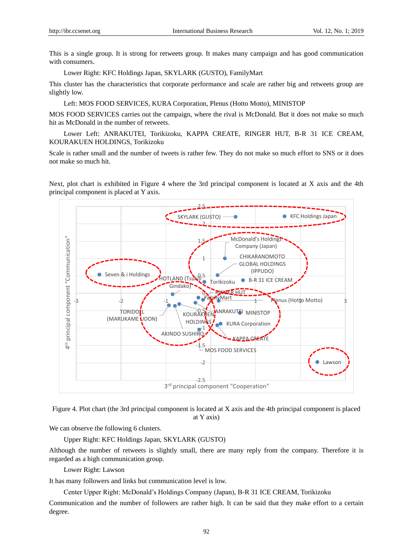This is a single group. It is strong for retweets group. It makes many campaign and has good communication with consumers.

Lower Right: KFC Holdings Japan, SKYLARK (GUSTO), FamilyMart

This cluster has the characteristics that corporate performance and scale are rather big and retweets group are slightly low.

Left: MOS FOOD SERVICES, KURA Corporation, Plenus (Hotto Motto), MINISTOP

MOS FOOD SERVICES carries out the campaign, where the rival is McDonald. But it does not make so much hit as McDonald in the number of retweets.

Lower Left: ANRAKUTEI, Torikizoku, KAPPA CREATE, RINGER HUT, B-R 31 ICE CREAM, KOURAKUEN HOLDINGS, Torikizoku

Scale is rather small and the number of tweets is rather few. They do not make so much effort to SNS or it does not make so much hit.

Next, plot chart is exhibited in Figure 4 where the 3rd principal component is located at X axis and the 4th principal component is placed at Y axis.



Figure 4. Plot chart (the 3rd principal component is located at X axis and the 4th principal component is placed at Y axis)

We can observe the following 6 clusters.

Upper Right: KFC Holdings Japan, SKYLARK (GUSTO)

Although the number of retweets is slightly small, there are many reply from the company. Therefore it is regarded as a high communication group.

Lower Right: Lawson

It has many followers and links but communication level is low.

Center Upper Right: McDonald's Holdings Company (Japan), B-R 31 ICE CREAM, Torikizoku

Communication and the number of followers are rather high. It can be said that they make effort to a certain degree.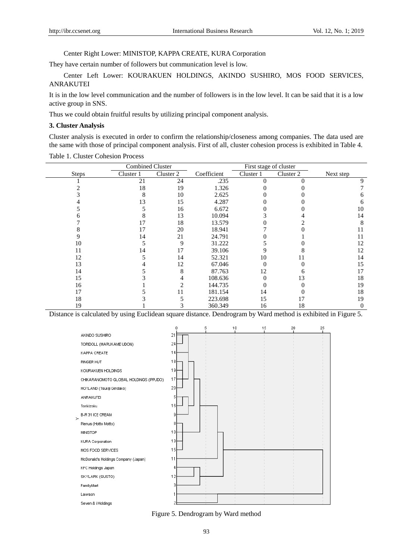#### Center Right Lower: MINISTOP, KAPPA CREATE, KURA Corporation

They have certain number of followers but communication level is low.

Center Left Lower: KOURAKUEN HOLDINGS, AKINDO SUSHIRO, MOS FOOD SERVICES, ANRAKUTEI

It is in the low level communication and the number of followers is in the low level. It can be said that it is a low active group in SNS.

Thus we could obtain fruitful results by utilizing principal component analysis.

#### **3. Cluster Analysis**

Cluster analysis is executed in order to confirm the relationship/closeness among companies. The data used are the same with those of principal component analysis. First of all, cluster cohesion process is exhibited in Table 4.

**Steps** Combined Cluster Cluster 1 Cluster 2 Coefficient Cluster 1 Cluster 2 Next step First stage of cluster 1 21 24 .235 0 0 9 2 18 19 1.326 0 0 7 3 8 10 2.625 0 0 6 4 13 15 4.287 0 0 6 5 5 16 6.672 0 0 10 **6 8 13 10.094 3 4 14** 7 17 18 13.579 0 2 8 8 17 20 18.941 7 0 11 9 14 21 24.791 0 1 11 10 5 9 31.222 5 0 12 11 14 17 39.106 9 8 12 12 5 14 52.321 10 11 14 13 4 12 67.046 0 0 15 14 5 8 87.763 12 6 17 15 3 4 108.636 0 13 18 16 1 1 2 144.735 0 0 19 17 5 11 181.154 14 0 18 18 3 5 223.698 15 17 19 19 1 1 3 360.349 16 18 0

Table 1. Cluster Cohesion Process

Distance is calculated by using Euclidean square distance. Dendrogram by Ward method is exhibited in Figure 5.



Figure 5. Dendrogram by Ward method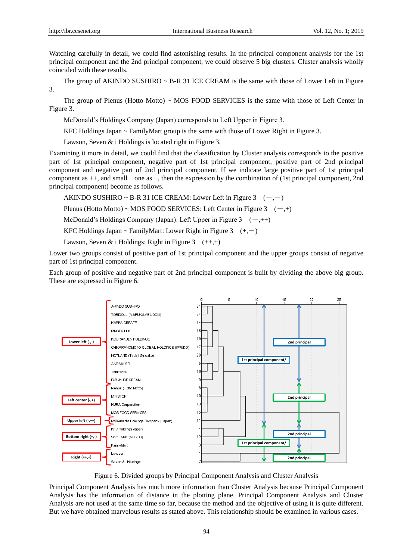Watching carefully in detail, we could find astonishing results. In the principal component analysis for the 1st principal component and the 2nd principal component, we could observe 5 big clusters. Cluster analysis wholly coincided with these results.

The group of AKINDO SUSHIRO  $\sim$  B-R 31 ICE CREAM is the same with those of Lower Left in Figure 3.

The group of Plenus (Hotto Motto)  $\sim$  MOS FOOD SERVICES is the same with those of Left Center in Figure 3.

McDonald's Holdings Company (Japan) corresponds to Left Upper in Figure 3.

KFC Holdings Japan ~ FamilyMart group is the same with those of Lower Right in Figure 3.

Lawson, Seven & i Holdings is located right in Figure 3.

Examining it more in detail, we could find that the classification by Cluster analysis corresponds to the positive part of 1st principal component, negative part of 1st principal component, positive part of 2nd principal component and negative part of 2nd principal component. If we indicate large positive part of 1st principal component as ++, and small one as +, then the expression by the combination of (1st principal component, 2nd principal component) become as follows.

AKINDO SUSHIRO ~ B-R 31 ICE CREAM: Lower Left in Figure 3  $(-,-)$ 

Plenus (Hotto Motto) ~ MOS FOOD SERVICES: Left Center in Figure 3  $(-,+)$ 

McDonald's Holdings Company (Japan): Left Upper in Figure 3  $(-,++)$ 

KFC Holdings Japan ~ FamilyMart: Lower Right in Figure 3  $(+,-)$ 

Lawson, Seven & i Holdings: Right in Figure 3  $(+,+)$ 

Lower two groups consist of positive part of 1st principal component and the upper groups consist of negative part of 1st principal component.

Each group of positive and negative part of 2nd principal component is built by dividing the above big group. These are expressed in Figure 6.



Figure 6. Divided groups by Principal Component Analysis and Cluster Analysis

Principal Component Analysis has much more information than Cluster Analysis because Principal Component Analysis has the information of distance in the plotting plane. Principal Component Analysis and Cluster Analysis are not used at the same time so far, because the method and the objective of using it is quite different. But we have obtained marvelous results as stated above. This relationship should be examined in various cases.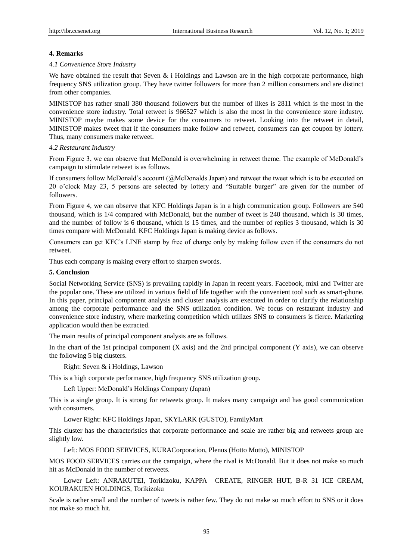#### **4. Remarks**

#### *4.1 Convenience Store Industry*

We have obtained the result that Seven  $\&$  i Holdings and Lawson are in the high corporate performance, high frequency SNS utilization group. They have twitter followers for more than 2 million consumers and are distinct from other companies.

MINISTOP has rather small 380 thousand followers but the number of likes is 2811 which is the most in the convenience store industry. Total retweet is 966527 which is also the most in the convenience store industry. MINISTOP maybe makes some device for the consumers to retweet. Looking into the retweet in detail, MINISTOP makes tweet that if the consumers make follow and retweet, consumers can get coupon by lottery. Thus, many consumers make retweet.

#### *4.2 Restaurant Industry*

From Figure 3, we can observe that McDonald is overwhelming in retweet theme. The example of McDonald's campaign to stimulate retweet is as follows.

If consumers follow McDonald's account (@McDonalds Japan) and retweet the tweet which is to be executed on 20 o'clock May 23, 5 persons are selected by lottery and "Suitable burger" are given for the number of followers.

From Figure 4, we can observe that KFC Holdings Japan is in a high communication group. Followers are 540 thousand, which is 1/4 compared with McDonald, but the number of tweet is 240 thousand, which is 30 times, and the number of follow is 6 thousand, which is 15 times, and the number of replies 3 thousand, which is 30 times compare with McDonald. KFC Holdings Japan is making device as follows.

Consumers can get KFC's LINE stamp by free of charge only by making follow even if the consumers do not retweet.

Thus each company is making every effort to sharpen swords.

#### **5. Conclusion**

Social Networking Service (SNS) is prevailing rapidly in Japan in recent years. Facebook, mixi and Twitter are the popular one. These are utilized in various field of life together with the convenient tool such as smart-phone. In this paper, principal component analysis and cluster analysis are executed in order to clarify the relationship among the corporate performance and the SNS utilization condition. We focus on restaurant industry and convenience store industry, where marketing competition which utilizes SNS to consumers is fierce. Marketing application would then be extracted.

The main results of principal component analysis are as follows.

In the chart of the 1st principal component (X axis) and the 2nd principal component (Y axis), we can observe the following 5 big clusters.

Right: Seven & i Holdings, Lawson

This is a high corporate performance, high frequency SNS utilization group.

Left Upper: McDonald's Holdings Company (Japan)

This is a single group. It is strong for retweets group. It makes many campaign and has good communication with consumers.

Lower Right: KFC Holdings Japan, SKYLARK (GUSTO), FamilyMart

This cluster has the characteristics that corporate performance and scale are rather big and retweets group are slightly low.

Left: MOS FOOD SERVICES, KURACorporation, Plenus (Hotto Motto), MINISTOP

MOS FOOD SERVICES carries out the campaign, where the rival is McDonald. But it does not make so much hit as McDonald in the number of retweets.

Lower Left: ANRAKUTEI, Torikizoku, KAPPA CREATE, RINGER HUT, B-R 31 ICE CREAM, KOURAKUEN HOLDINGS, Torikizoku

Scale is rather small and the number of tweets is rather few. They do not make so much effort to SNS or it does not make so much hit.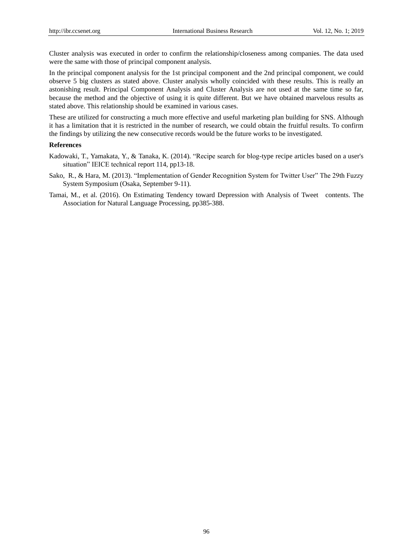Cluster analysis was executed in order to confirm the relationship/closeness among companies. The data used were the same with those of principal component analysis.

In the principal component analysis for the 1st principal component and the 2nd principal component, we could observe 5 big clusters as stated above. Cluster analysis wholly coincided with these results. This is really an astonishing result. Principal Component Analysis and Cluster Analysis are not used at the same time so far, because the method and the objective of using it is quite different. But we have obtained marvelous results as stated above. This relationship should be examined in various cases.

These are utilized for constructing a much more effective and useful marketing plan building for SNS. Although it has a limitation that it is restricted in the number of research, we could obtain the fruitful results. To confirm the findings by utilizing the new consecutive records would be the future works to be investigated.

#### **References**

- Kadowaki, T., Yamakata, Y., & Tanaka, K. (2014). "Recipe search for blog-type recipe articles based on a user's situation" IEICE technical report 114, pp13-18.
- Sako, R., & Hara, M. (2013). "Implementation of Gender Recognition System for Twitter User" The 29th Fuzzy System Symposium (Osaka, September 9-11).
- Tamai, M., et al. (2016). On Estimating Tendency toward Depression with Analysis of Tweet contents. The Association for Natural Language Processing, pp385-388.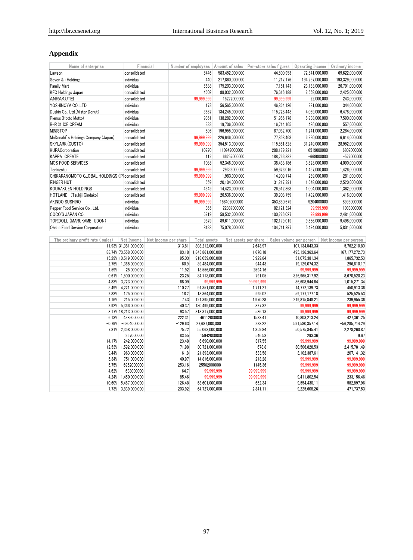# **Appendix**

| Name of enterprise                              | Financial                          |                |                                  |                          |                      |                          |                             | Number of employees Amount of sales Per-store sales figures   Operating Income   Ordinary income |                          |  |
|-------------------------------------------------|------------------------------------|----------------|----------------------------------|--------------------------|----------------------|--------------------------|-----------------------------|--------------------------------------------------------------------------------------------------|--------------------------|--|
| Lawson                                          | consolidated                       |                | 5446                             |                          | 583,452,000,000      |                          | 44,500,953                  | 72,541,000,000                                                                                   | 69,622,000,000           |  |
| Seven & i Holdings                              | individual                         |                | 440                              |                          | 217,860,000,000      |                          | 11,217,176                  | 194,297,000,000                                                                                  | 193,329,000,000          |  |
| Family Mart                                     | individual                         |                | 5638                             |                          | 175,203,000,000      |                          | 7,151,143                   | 23,183,000,000                                                                                   | 26,791,000,000           |  |
| <b>KFC Holdings Japan</b>                       | consolidated                       |                | 4602                             |                          | 88,032,000,000       |                          | 76,616,188                  | 2,558,000,000                                                                                    | 2,425,000,000            |  |
| ANRAKUTEI                                       | consolidated                       |                | 99,999,999                       |                          | 15272000000          |                          | 99,999,999                  | 22,000,000                                                                                       | 243,000,000              |  |
| YOSHINOYA CO.,LTD                               | individual                         |                | 173                              |                          | 56,565,000,000       |                          | 46,864,126                  | 281,000,000                                                                                      | 344,000,000              |  |
| Duskin Co., Ltd.(Mister Donut)                  | individual                         |                | 3667                             |                          | 134,245,000,000      |                          | 115,728,448                 | 4,069,000,000                                                                                    | 6,478,000,000            |  |
| Plenus (Hotto Motto)                            | individual                         |                | 9361                             |                          | 138,282,000,000      |                          | 51,966,178                  | 6,938,000,000                                                                                    | 7,590,000,000            |  |
| B-R 31 ICE CREAM                                | individual                         |                | 333                              |                          | 19,706,000,000       |                          | 16,714,165                  | 486,000,000                                                                                      | 557,000,000              |  |
| MINISTOP                                        | consolidated                       |                | 896                              |                          | 196,955,000,000      |                          | 87,032,700<br>1,241,000,000 |                                                                                                  | 2,284,000,000            |  |
| McDonald's Holdings Company (Japan)             | consolidated                       |                | 99,999,999                       |                          | 226,646,000,000      |                          | 77,858,468                  | 6,930,000,000                                                                                    | 6,614,000,000            |  |
| SKYLARK (GUSTO)                                 | consolidated                       |                | 99,999,999                       |                          | 354,513,000,000      |                          | 115,551,825                 | 31,249,000,000                                                                                   | 28,952,000,000           |  |
| KURACorporation                                 | consolidated                       |                | 10270                            |                          | 110949000000         |                          | 288,179,221                 | 6519000000                                                                                       | 6802000000               |  |
| KAPPA CREATE                                    | consolidated                       |                | 112                              |                          | 66257000000          |                          | 188,766,382                 | $-668000000$                                                                                     | $-522000000$             |  |
| <b>MOS FOOD SERVICES</b>                        | consolidated                       |                | 1035                             |                          | 52,346,000,000       |                          | 38,433,186                  | 3,823,000,000                                                                                    | 4,090,000,000            |  |
| Torikizoku                                      | consolidated                       |                | 99,999,999                       |                          | 29336000000          |                          | 59,626,016                  | 1,457,000,000                                                                                    | 1,426,000,000            |  |
| CHIKARANOMOTO GLOBAL HOLDINGS (IPI consolidated |                                    |                | 99,999,999                       |                          | 1,983,000,000        |                          | 14,909,774                  | 289,000,000                                                                                      | 281,000,000              |  |
| <b>RINGER HUT</b>                               | consolidated                       |                | 659                              |                          | 20,104,000,000       |                          | 31,217,391                  | 1,648,000,000                                                                                    | 2,520,000,000            |  |
| KOURAKUEN HOLDINGS                              | consolidated                       |                | 4649                             |                          | 14,423,000,000       |                          | 26,512,868                  | 1,004,000,000                                                                                    | 1,362,000,000            |  |
| HOTLAND (Tsukiji Gindako)                       | consolidated                       |                | 99,999,999                       |                          | 26,536,000,000       |                          | 39,903,759                  | 1,492,000,000                                                                                    | 1,416,000,000            |  |
| AKINDO SUSHIRO                                  | individual                         |                | 99,999,999                       |                          | 156402000000         |                          | 353,850,679                 | 9204000000                                                                                       | 8995000000               |  |
| Pepper Food Service Co., Ltd.                   | individual                         |                | 365                              |                          | 22337000000          |                          | 82,121,324                  | 99,999,999                                                                                       | 1033000000               |  |
| COCO'S JAPAN CO.                                | individual                         |                | 6219                             |                          | 58,532,000,000       |                          | 100,226,027                 | 99,999,999                                                                                       | 2,481,000,000            |  |
| TORIDOLL (MARUKAME UDON)                        | individual                         |                | 9379                             |                          | 89,611,000,000       |                          | 102,179,019                 | 9,886,000,000                                                                                    | 9,498,000,000            |  |
| Ohsho Food Service Corporation                  | individual                         |                | 8138                             |                          | 75,078,000,000       |                          | 104,711,297                 | 5,494,000,000                                                                                    | 5,801,000,000            |  |
|                                                 |                                    |                |                                  |                          |                      |                          |                             |                                                                                                  |                          |  |
| The ordinary profit rate (sales)                | Net Income<br>Net income per share |                | Total assets                     |                          | Net assets per share |                          |                             | Sales volume per person                                                                          | Net income per person    |  |
|                                                 | 11.93% 31,381,000,000              | 313.81         | 803,212,000,000                  |                          |                      | 2,643.97                 |                             | 107,134,043.33                                                                                   | 5,762,210.80             |  |
|                                                 | 88.74% 73,558,000,000              | 83.18          | 1,845,861,000,000                |                          |                      | 1,670.18                 |                             | 495,136,363.64                                                                                   | 167, 177, 272. 73        |  |
|                                                 | 15.29% 10,519,000,000              | 95.03          | 918,059,000,000                  |                          |                      | 3,929.84                 |                             | 31,075,381.34                                                                                    | 1,865,732.53             |  |
|                                                 | 2.75% 1,365,000,000                | 60.9           | 39,484,000,000                   |                          |                      | 944.43                   |                             | 19,129,074.32                                                                                    | 296,610.17               |  |
| 1.59%                                           | 25,000,000                         | 11.92          | 13,556,000,000                   |                          |                      | 2594.16                  |                             | 99,999,999                                                                                       | 99,999,999               |  |
| 0.61%                                           | 1,500,000,000                      | 23.25          | 84,713,000,000                   |                          |                      | 791.05                   |                             | 326,965,317.92                                                                                   | 8,670,520.23             |  |
| 4.83%                                           | 3,723,000,000                      | 68.09          |                                  | 99,999,999               |                      | 99,999,999               |                             | 36,608,944.64                                                                                    | 1,015,271.34             |  |
| 5.49%<br>2.83%                                  | 4,221,000,000<br>175,000,000       | 110.27<br>18.2 | 91,351,000,000<br>18,364,000,000 |                          |                      | 1,711.27<br>995.02       |                             | 14,772,139.73<br>59, 177, 177. 18                                                                | 450,913.36<br>525,525.53 |  |
| 1.16%                                           | 215,000,000                        | 7.43           | 121,395,000,000                  |                          |                      | 1,970.28                 |                             | 219,815,848.21                                                                                   | 239,955.36               |  |
|                                                 | 2.92% 5,366,000,000                | 40.37          | 180,499,000,000                  |                          |                      | 827.32                   |                             | 99,999,999                                                                                       | 99,999,999               |  |
|                                                 | 8.17% 18,213,000,000               | 93.57          | 318,317,000,000                  |                          |                      | 586.13                   |                             | 99,999,999                                                                                       | 99,999,999               |  |
| 6.13%                                           | 4389000000                         | 222.31         | 46112000000                      |                          |                      | 1533.41                  |                             | 10,803,213.24                                                                                    | 427,361.25               |  |
| $-0.79%$                                        | $-6304000000$                      | $-129.63$      | 27,687,000,000                   |                          |                      | 228.22                   |                             | 591,580,357.14                                                                                   | $-56,285,714.29$         |  |
|                                                 | 7.81% 2,358,000,000                | 75.72          | 55,063,000,000                   |                          |                      | 1,359.84                 |                             | 50,575,845.41                                                                                    | 2,278,260.87             |  |
|                                                 | 967000000                          | 83.55          | 15942000000                      |                          |                      | 546.58                   |                             | 293.36                                                                                           | 9.67                     |  |
| 14.17%                                          | 242,000,000                        | 23.48          | 6,690,000,000                    |                          |                      | 317.55                   |                             | 99,999,999                                                                                       | 99,999,999               |  |
| 12.53%                                          | 1,592,000,000                      | 71.98          | 30,721,000,000                   |                          |                      | 678.8                    |                             | 30,506,828.53                                                                                    | 2,415,781.49             |  |
| 9.44%                                           | 963,000,000                        | 61.8           | 21,393,000,000                   |                          |                      | 533.58                   |                             | 3,102,387.61                                                                                     | 207,141.32               |  |
| 5.34%                                           | $-751,000,000$                     | $-40.97$       | 14,816,000,000                   |                          |                      | 213.28                   |                             | 99,999,999                                                                                       | 99,999,999               |  |
| 5.75%                                           | 6952000000                         | 253.16         | 125562000000                     |                          |                      | 1145.36                  |                             | 99,999,999                                                                                       | 99,999,999               |  |
| 4.62%                                           | 633000000<br>4.24% 1,450,000,000   | 64.7<br>85.46  |                                  | 99,999,999<br>99,999,999 |                      | 99,999,999<br>99,999,999 |                             | 99,999,999<br>9,411,802.54                                                                       | 99,999,999<br>233,156.46 |  |
|                                                 |                                    |                |                                  |                          |                      |                          |                             |                                                                                                  |                          |  |

10.60% 5,467,000,000 126.48 53,601,000,000 652.34 9,554,430.11 582,897.96 7.73% 3,839,000,000 203.92 64,727,000,000 2,341.11 9,225,608.26 471,737.53